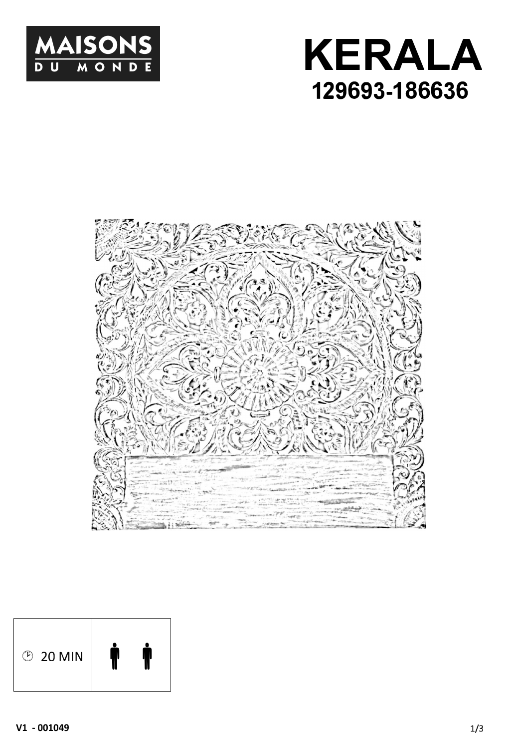





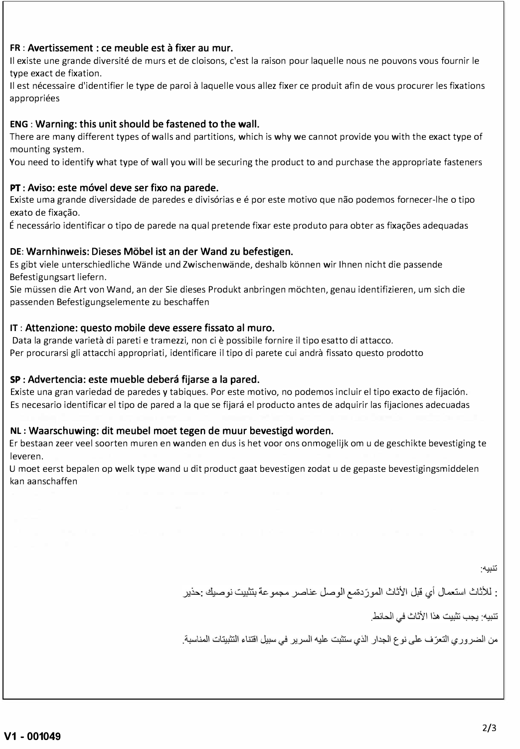#### **FR:** Avertissement : ce meuble est à fixer au mur.

Il existe une grande diversité de murs et de cloisons, c'est la raison pour laquelle nous ne pouvons vous fournir le type exact de fixation.

Il est nécessaire d'identifier le type de paroi à laquelle vous allez fixer ce produit afin de vous procurer les fixations appropriées

# **ENG:** Warning: this unit should be fastened to the wall.

There are many different types of walls and partitions, which is why we cannot provide you with the exact type of mounting system.

Vou need to identify what type of wall you will be securing the product to and purchase the appropriate fasteners

## PT: Aviso: este móvel deve ser fixo na parede.

Existe uma grande diversidade de paredes e divisórias e é por este motivo que não podemos fornecer-lhe o tipo exato de fixação.

É necessario identificar o tipo de parede na quai pretende fixar este produto para obter as fixaçôes adequadas

## **DE:** Warnhinweis: Dieses Mobel ist an der Wand zu befestigen.

Es gibt viele unterschiedliche Wände und Zwischenwände, deshalb können wir Ihnen nicht die passende Befestigungsart liefern.

Sie müssen die Art von Wand, an der Sie dieses Produkt anbringen mochten, genau identifizieren, um sich die passenden Befestigungselemente zu beschaffen

## **IT:** Attenzione: questo mobile deve essere fissato al muro.

Data la grande varietà di pareti e tramezzi, non ci è possibile fornire il tipo esatto di attacco. Per procurarsi gli attacchi appropriati, identificare il tipo di parete cui andrà fissato questo prodotto

# SP: Advertencia: este mueble debera fijarse a la pared.

Existe una gran variedad de paredes y tabiques. Por este motivo, no podemos incluir el tipo exacto de fijación. Es necesario identificar el tipo de pared a la que se fijará el producto antes de adquirir las fijaciones adecuadas

#### **NL:** Waarschuwing: dit meubel moet tegen de muur bevestigd worden.

Er bestaan zeer veel soorten muren en wanden en dus is het voor ons onmogelijk om u de geschikte bevestiging te leveren.

U moet eerst bepalen op welk type wand u dit product gaat bevestigen zodat u de gepaste bevestigingsmiddelen kan aanschaffen

تنبيه·

: للأثاث استعمال أي قبل الأثاث المورِّدةمع الوصل عناصر مجموعة بتثبيت نوصيك :حذير

تنبيه: يجب تثبيت هذا الأثاث في الحائط.

من الضروري التعرّف على نوع الجدار الذي ستثبت عليه السرير في سبيل اقتناء التثبيتات المناسبة.